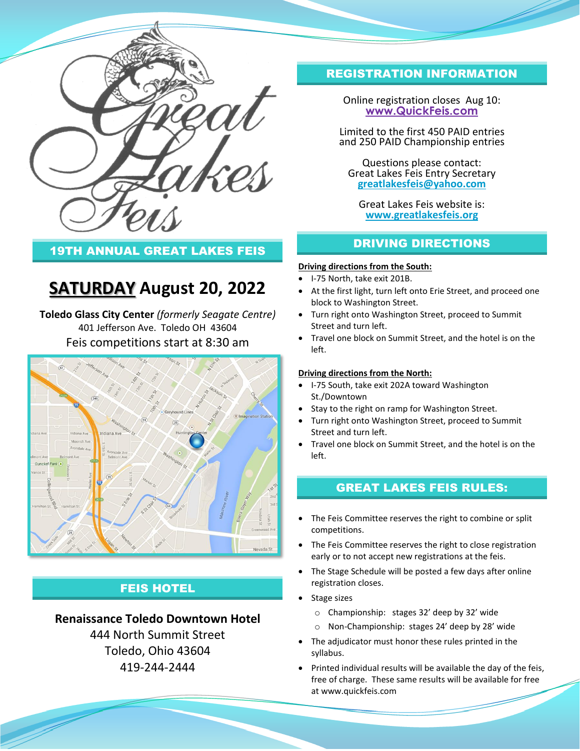

## 19TH ANNUAL GREAT LAKES FEIS

# **SATURDAY August 20, 2022**

**Toledo Glass City Center** *(formerly Seagate Centre)* 401 Jefferson Ave. Toledo OH 43604 Feis competitions start at 8:30 am



# FEIS HOTEL

### **Renaissance Toledo Downtown Hotel**

444 North Summit Street Toledo, Ohio 43604 419-244-2444

# REGISTRATION INFORMATION

Online registration closes Aug 10: **[www.QuickFeis.com](http://www.quickfeis.com/)**

Limited to the first 450 PAID entries and 250 PAID Championship entries

Questions please contact: Great Lakes Feis Entry Secretary **[greatlakesfeis@yahoo.com](mailto:greatlakesfeis@yahoo.com)**

Great Lakes Feis website is: **[www.greatlakesfeis.org](http://www.greatlakesfeis.org/)**

## DRIVING DIRECTIONS

#### **Driving directions from the South:**

- I-75 North, take exit 201B.
- At the first light, turn left onto Erie Street, and proceed one block to Washington Street.
- Turn right onto Washington Street, proceed to Summit Street and turn left.
- Travel one block on Summit Street, and the hotel is on the left.

#### **Driving directions from the North:**

- I-75 South, take exit 202A toward Washington St./Downtown
- Stay to the right on ramp for Washington Street.
- Turn right onto Washington Street, proceed to Summit Street and turn left.
- Travel one block on Summit Street, and the hotel is on the left.

### GREAT LAKES FEIS RULES:

- The Feis Committee reserves the right to combine or split competitions.
- The Feis Committee reserves the right to close registration early or to not accept new registrations at the feis.
- The Stage Schedule will be posted a few days after online registration closes.
- Stage sizes
	- o Championship: stages 32' deep by 32' wide
	- o Non-Championship: stages 24' deep by 28' wide
- The adjudicator must honor these rules printed in the syllabus.
- Printed individual results will be available the day of the feis, free of charge. These same results will be available for free at www.quickfeis.com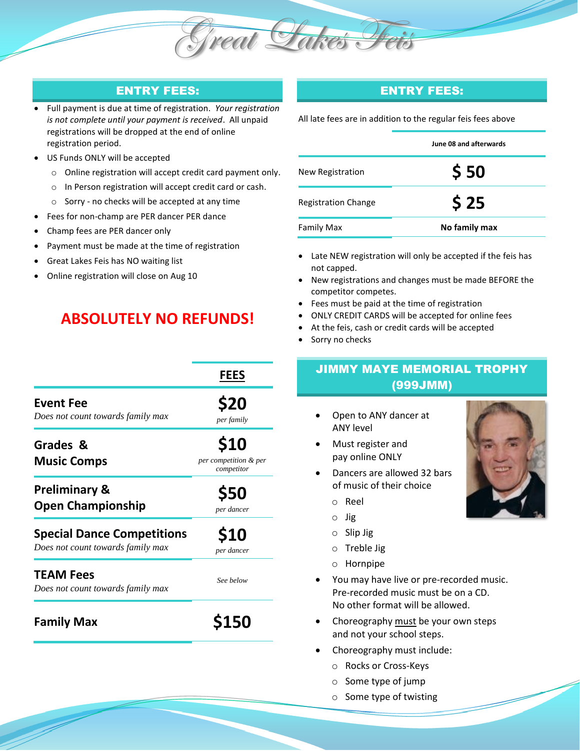

## ENTRY FEES:

- Full payment is due at time of registration. *Your registration is not complete until your payment is received*. All unpaid registrations will be dropped at the end of online registration period.
- US Funds ONLY will be accepted
	- o Online registration will accept credit card payment only.
	- o In Person registration will accept credit card or cash.
	- o Sorry no checks will be accepted at any time
	- Fees for non-champ are PER dancer PER dance
- Champ fees are PER dancer only
- Payment must be made at the time of registration
- Great Lakes Feis has NO waiting list
- Online registration will close on Aug 10

# **ABSOLUTELY NO REFUNDS!**

|                                                                        | <b>FEES</b>                                 |
|------------------------------------------------------------------------|---------------------------------------------|
| <b>Event Fee</b><br>Does not count towards family max                  | <b>S20</b><br>per family                    |
| Grades &<br><b>Music Comps</b>                                         | \$10<br>per competition & per<br>competitor |
| <b>Preliminary &amp;</b><br><b>Open Championship</b>                   | <b>\$50</b><br>per dancer                   |
| <b>Special Dance Competitions</b><br>Does not count towards family max | \$10<br>per dancer                          |
| <b>TEAM Fees</b><br>Does not count towards family max                  | See below                                   |
| <b>Family Max</b>                                                      | <b>S150</b>                                 |

## ENTRY FEES:

All late fees are in addition to the regular feis fees above 

|                            | June 08 and afterwards |
|----------------------------|------------------------|
| New Registration           | \$50                   |
| <b>Registration Change</b> | \$25                   |
| <b>Family Max</b>          | No family max          |

- Late NEW registration will only be accepted if the feis has not capped.
- New registrations and changes must be made BEFORE the competitor competes.
- Fees must be paid at the time of registration
- ONLY CREDIT CARDS will be accepted for online fees
- At the feis, cash or credit cards will be accepted
- Sorry no checks

# JIMMY MAYE MEMORIAL TROPHY (999JMM)

- Open to ANY dancer at ANY level
- Must register and pay online ONLY
- Dancers are allowed 32 bars of music of their choice
	- o Reel
	- o Jig
	- o Slip Jig
	- o Treble Jig
	- o Hornpipe
- You may have live or pre-recorded music. Pre-recorded music must be on a CD. No other format will be allowed.
- Choreography must be your own steps and not your school steps.
- Choreography must include:
	- o Rocks or Cross-Keys
	- o Some type of jump
	- o Some type of twisting

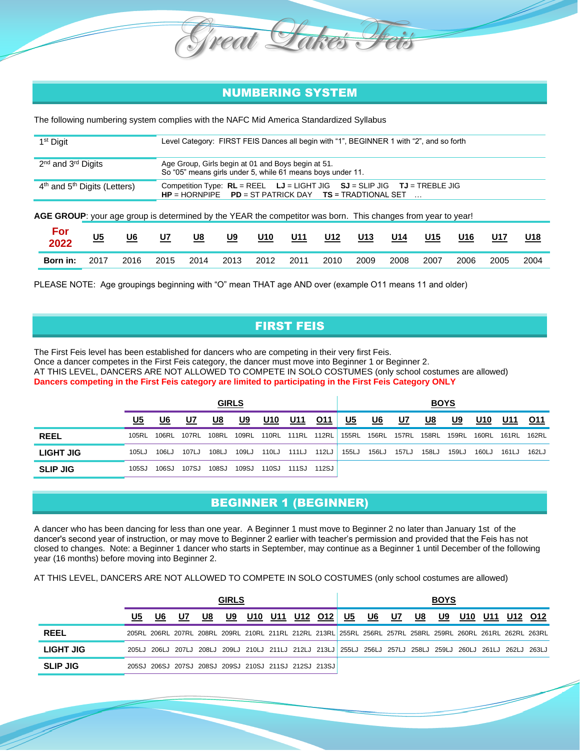## NUMBERING SYSTEM

The following numbering system complies with the NAFC Mid America Standardized Syllabus

reat

| 1 <sup>st</sup> Digit                                                                                        | Level Category: FIRST FEIS Dances all begin with "1", BEGINNER 1 with "2", and so forth                                                     |  |  |  |  |  |  |  |  |  |
|--------------------------------------------------------------------------------------------------------------|---------------------------------------------------------------------------------------------------------------------------------------------|--|--|--|--|--|--|--|--|--|
| 2 <sup>nd</sup> and 3 <sup>rd</sup> Digits                                                                   | Age Group, Girls begin at 01 and Boys begin at 51.<br>So "05" means girls under 5, while 61 means boys under 11.                            |  |  |  |  |  |  |  |  |  |
| 4 <sup>th</sup> and 5 <sup>th</sup> Digits (Letters)                                                         | Competition Type: $RL = REEL$ $LJ = LIGHT JIG$ $SJ = SLIP JIG$ $TU = TREELE JIG$<br>$HP = HORNPIPE$ PD = ST PATRICK DAY TS = TRADTIONAL SET |  |  |  |  |  |  |  |  |  |
| AGE GROUP: your age group is determined by the YEAR the competitor was born. This changes from year to year! |                                                                                                                                             |  |  |  |  |  |  |  |  |  |
| Eor                                                                                                          |                                                                                                                                             |  |  |  |  |  |  |  |  |  |

| For<br>2022 | <u>U5</u> | <u>U6</u> | U7   | <u>U8</u> | <u>U9</u> | <u>U10</u> | U11  | U12  | U13  | U14  | <b>U15</b> | U16  | U17  | U18  |
|-------------|-----------|-----------|------|-----------|-----------|------------|------|------|------|------|------------|------|------|------|
| Born in:    | 2017      | 2016      | 2015 | 2014      | 2013      | 2012       | 2011 | 2010 | 2009 | 2008 | 2007       | 2006 | 2005 | 2004 |

PLEASE NOTE: Age groupings beginning with "O" mean THAT age AND over (example O11 means 11 and older)

## FIRST FEIS

The First Feis level has been established for dancers who are competing in their very first Feis. Once a dancer competes in the First Feis category, the dancer must move into Beginner 1 or Beginner 2. AT THIS LEVEL, DANCERS ARE NOT ALLOWED TO COMPETE IN SOLO COSTUMES (only school costumes are allowed) **Dancers competing in the First Feis category are limited to participating in the First Feis Category ONLY**

|                 |           |       |       |       | <b>GIRLS</b> |            |                   |            |           |                   |       | <u>BOYS</u> |       |            |       |            |
|-----------------|-----------|-------|-------|-------|--------------|------------|-------------------|------------|-----------|-------------------|-------|-------------|-------|------------|-------|------------|
|                 | <u>U5</u> | U6    | U7    | U8    | U9           | <u>U10</u> | <u>U11</u>        | <u>011</u> | <u>U5</u> | <u>U6</u>         | U7    | U8          | U9    | <u>U10</u> | U11   | <b>O11</b> |
| <b>REEL</b>     | 105RL     | 106RL | 107RL |       | 108RL 109RL  |            | 110RL 111RL 112RL |            |           | 155RL 156RL 157RL |       | 158RL       | 159RL | 160RL      | 161RL | 162RL      |
| LIGHT JIG       | 105LJ     | 106LJ | 107LJ | 108LJ | 109LJ        | 110LJ      | 111LJ             | 112LJ      | 155LJ     | 156LJ             | 157LJ | 158LJ       | 159LJ | 160LJ      | 161LJ | 162LJ      |
| <b>SLIP JIG</b> | 105SJ     | 106SJ | 107SJ | 108SJ | 109SJ        | 110SJ      | 111SJ             | 112SJ      |           |                   |       |             |       |            |       |            |

## BEGINNER 1 (BEGINNER)

A dancer who has been dancing for less than one year. A Beginner 1 must move to Beginner 2 no later than January 1st of the dancer's second year of instruction, or may move to Beginner 2 earlier with teacher's permission and provided that the Feis has not closed to changes. Note: a Beginner 1 dancer who starts in September, may continue as a Beginner 1 until December of the following year (16 months) before moving into Beginner 2.

AT THIS LEVEL, DANCERS ARE NOT ALLOWED TO COMPETE IN SOLO COSTUMES (only school costumes are allowed)

|                  |       |    |                                                                                                             |    | <b>GIRLS</b> |     |             |    |    |    |    | <b>BOYS</b> |     |     |         |  |
|------------------|-------|----|-------------------------------------------------------------------------------------------------------------|----|--------------|-----|-------------|----|----|----|----|-------------|-----|-----|---------|--|
|                  | U5    | U6 | U7                                                                                                          | U8 | U9           | U10 | U11 U12 O12 | U5 | U6 | U7 | U8 | U9          | U10 | U11 | U12 O12 |  |
| <b>REEL</b>      |       |    | 205RL 206RL 207RL 208RL 209RL 210RL 211RL 212RL 213RL 255RL 256RL 257RL 258RL 259RL 260RL 261RL 262RL 263RL |    |              |     |             |    |    |    |    |             |     |     |         |  |
| <b>LIGHT JIG</b> | 205LJ |    | 206LJ 207LJ 208LJ 209LJ 210LJ 211LJ 212LJ 213LJ 255LJ 256LJ 257LJ 258LJ 259LJ 260LJ 261LJ 262LJ 263LJ       |    |              |     |             |    |    |    |    |             |     |     |         |  |
| <b>SLIP JIG</b>  |       |    | 205SJ 206SJ 207SJ 208SJ 209SJ 210SJ 211SJ 212SJ 213SJ                                                       |    |              |     |             |    |    |    |    |             |     |     |         |  |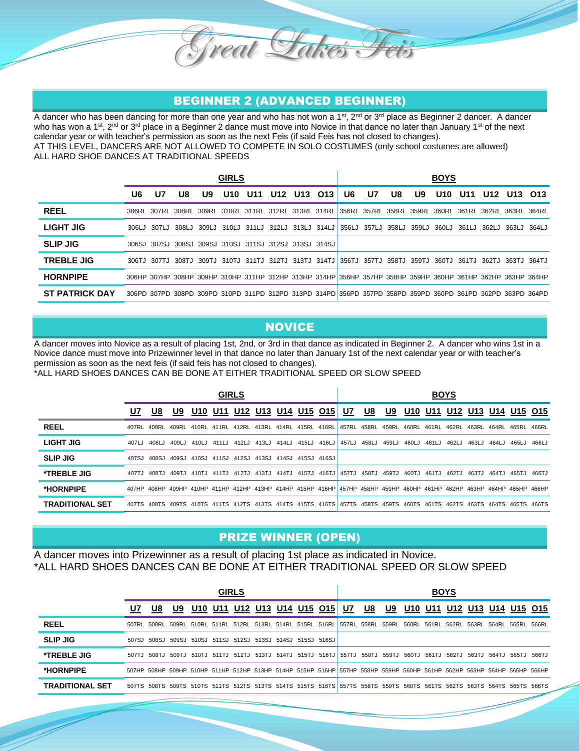## BEGINNER 2 (ADVANCED BEGINNER)

Great Sakes Feis

A dancer who has been dancing for more than one year and who has not won a 1<sup>st</sup>, 2<sup>nd</sup> or 3<sup>rd</sup> place as Beginner 2 dancer. A dancer who has won a 1<sup>st</sup>, 2<sup>nd</sup> or 3<sup>rd</sup> place in a Beginner 2 dance must move into Novice in that dance no later than January 1<sup>st</sup> of the next calendar year or with teacher's permission as soon as the next Feis (if said Feis has not closed to changes). AT THIS LEVEL, DANCERS ARE NOT ALLOWED TO COMPETE IN SOLO COSTUMES (only school costumes are allowed) ALL HARD SHOE DANCES AT TRADITIONAL SPEEDS

|                       |       |    |                                                       |           | <b>GIRLS</b> |     |     |     |     |                                                                                                             |           |    |    | <b>BOYS</b>     |     |     |                   |     |
|-----------------------|-------|----|-------------------------------------------------------|-----------|--------------|-----|-----|-----|-----|-------------------------------------------------------------------------------------------------------------|-----------|----|----|-----------------|-----|-----|-------------------|-----|
|                       | U6    | U7 | U8                                                    | <u>U9</u> | U10          | U11 | U12 | U13 | O13 | <u>U6</u>                                                                                                   | <u>U7</u> | U8 | U9 | U <sub>10</sub> | U11 | U12 | U13               | O13 |
| <b>REEL</b>           |       |    |                                                       |           |              |     |     |     |     | 306RL 307RL 308RL 309RL 310RL 311RL 312RL 313RL 314RL 356RL 357RL 358RL 359RL 360RL 361RL 362RL 363RL 364RL |           |    |    |                 |     |     |                   |     |
| <b>LIGHT JIG</b>      | 306LJ |    | 307LJ 308LJ                                           |           |              |     |     |     |     | 309LJ 310LJ 311LJ 312LJ 313LJ 314LJ 356LJ 357LJ 358LJ 359LJ 360LJ 361LJ                                     |           |    |    |                 |     |     | 362LJ 363LJ 364LJ |     |
| <b>SLIP JIG</b>       |       |    | 306SJ 307SJ 308SJ 309SJ 310SJ 311SJ 312SJ 313SJ 314SJ |           |              |     |     |     |     |                                                                                                             |           |    |    |                 |     |     |                   |     |
| <b>TREBLE JIG</b>     |       |    |                                                       |           |              |     |     |     |     | 306TJ 307TJ 308TJ 309TJ 310TJ 311TJ 312TJ 313TJ 314TJ 356TJ 357TJ 358TJ 359TJ 360TJ 361TJ 362TJ 363TJ 364TJ |           |    |    |                 |     |     |                   |     |
| <b>HORNPIPE</b>       |       |    |                                                       |           |              |     |     |     |     | 306HP 307HP 308HP 309HP 310HP 311HP 312HP 313HP 314HP 356HP 357HP 358HP 359HP 360HP 361HP 362HP 363HP 364HP |           |    |    |                 |     |     |                   |     |
| <b>ST PATRICK DAY</b> |       |    |                                                       |           |              |     |     |     |     | 306PD 307PD 308PD 309PD 310PD 311PD 312PD 313PD 314PD 356PD 357PD 358PD 359PD 360PD 361PD 362PD 363PD 364PD |           |    |    |                 |     |     |                   |     |

#### **NOVICE**

A dancer moves into Novice as a result of placing 1st, 2nd, or 3rd in that dance as indicated in Beginner 2. A dancer who wins 1st in a Novice dance must move into Prizewinner level in that dance no later than January 1st of the next calendar year or with teacher's permission as soon as the next feis (if said feis has not closed to changes).

\*ALL HARD SHOES DANCES CAN BE DONE AT EITHER TRADITIONAL SPEED OR SLOW SPEED

|                        |        |             |       |       |       | <b>GIRLS</b>                              |                         |             |             |       |                                                                                                                         |             |                   |       |       | <b>BOYS</b> |             |       |             |       |
|------------------------|--------|-------------|-------|-------|-------|-------------------------------------------|-------------------------|-------------|-------------|-------|-------------------------------------------------------------------------------------------------------------------------|-------------|-------------------|-------|-------|-------------|-------------|-------|-------------|-------|
|                        | U7     | U8          | U9    | U10   | U11   | U12                                       | U13                     |             | U14 U15 015 |       | U7                                                                                                                      | U8          | U9                | U10   | U11   | U12         | U13         |       | U14 U15 015 |       |
| <b>REEL</b>            |        |             |       |       |       |                                           |                         |             |             |       | 407RL 408RL 409RL 410RL 411RL 412RL 413RL 414RL 415RL 416RL 457RL 458RL 459RL 460RL                                     |             |                   |       | 461RL | 462RL       | 463RL 464RL |       | 465RL 466RL |       |
| <b>LIGHT JIG</b>       | 407LJ  | 408L.J      | 409LJ | 410LJ | 411LJ | 412LJ                                     |                         | 413LJ 414LJ | 415LJ       | 416LJ |                                                                                                                         | 457LJ 458LJ | 459LJ             | 460LJ | 461LJ | 462LJ       | 463LJ       | 464LJ | 465LJ       | 466LJ |
| <b>SLIP JIG</b>        |        | 407SJ 408SJ | 409SJ |       |       | 410SJ 411SJ 412SJ 413SJ 414SJ 415SJ 416SJ |                         |             |             |       |                                                                                                                         |             |                   |       |       |             |             |       |             |       |
| <b>*TREBLE JIG</b>     | 407T.I | 408TJ       | 409TJ | 410TJ | 411TJ |                                           | 412TJ 413TJ 414TJ 415TJ |             |             | 416TJ |                                                                                                                         |             | 457TJ 458TJ 459TJ | 460TJ | 461TJ | 462TJ       | 463TJ       | 464TJ | 465TJ       | 466TJ |
| *HORNPIPE              |        |             |       |       |       |                                           |                         |             |             |       | 407HP 408HP 409HP 410HP 411HP 412HP 413HP 414HP 415HP 416HP 457HP 458HP 459HP 460HP 461HP 462HP 463HP 464HP 465HP 466HP |             |                   |       |       |             |             |       |             |       |
| <b>TRADITIONAL SET</b> |        |             |       |       |       |                                           |                         |             |             |       | 407TS 408TS 409TS 410TS 411TS 412TS 413TS 414TS 415TS 416TS 457TS 458TS 459TS 460TS 461TS 462TS 463TS 464TS 465TS 466TS |             |                   |       |       |             |             |       |             |       |

## PRIZE WINNER (OPEN)

A dancer moves into Prizewinner as a result of placing 1st place as indicated in Novice. \*ALL HARD SHOES DANCES CAN BE DONE AT EITHER TRADITIONAL SPEED OR SLOW SPEED

|                        |    |    |    |                                                                                                                         | <b>GIRLS</b> |  |                |  |    |    |                | <b>BOYS</b> |             |                     |               |  |
|------------------------|----|----|----|-------------------------------------------------------------------------------------------------------------------------|--------------|--|----------------|--|----|----|----------------|-------------|-------------|---------------------|---------------|--|
|                        | U7 | U8 | U9 | U10                                                                                                                     | U11 U12 U13  |  | U14 U15 O15 U7 |  | U8 | U9 | <b>U10 U11</b> |             |             | U12 U13 U14 U15 O15 |               |  |
| <b>REEL</b>            |    |    |    | 507RL 508RL 509RL 510RL 511RL 512RL 513RL 514RL 515RL 516RL 557RL 558RL 559RL 560RL 561RL 562RL                         |              |  |                |  |    |    |                |             | 563RL 564RL |                     | . 565RL 566RL |  |
| <b>SLIP JIG</b>        |    |    |    | 507SJ 508SJ 509SJ 510SJ 511SJ 512SJ 513SJ 514SJ 515SJ 516SJ                                                             |              |  |                |  |    |    |                |             |             |                     |               |  |
| <b>*TREBLE JIG</b>     |    |    |    | 564TJ 508TJ 509TJ 510TJ 511TJ 512TJ 513TJ 514TJ 515TJ 516TJ 557TJ 558TJ 559TJ 560TJ 561TJ 562TJ 563TJ 564TJ             |              |  |                |  |    |    |                |             |             |                     | 565TJ 566TJ   |  |
| *HORNPIPE              |    |    |    | 507HP 508HP 509HP 510HP 511HP 512HP 513HP 514HP 515HP 516HP 557HP 558HP 559HP 560HP 561HP 562HP 563HP 564HP 565HP 566HP |              |  |                |  |    |    |                |             |             |                     |               |  |
| <b>TRADITIONAL SET</b> |    |    |    | 507TS 508TS 509TS 510TS 511TS 512TS 513TS 514TS 515TS 516TS 557TS 558TS 559TS 560TS 561TS 562TS 563TS 564TS 565TS 566TS |              |  |                |  |    |    |                |             |             |                     |               |  |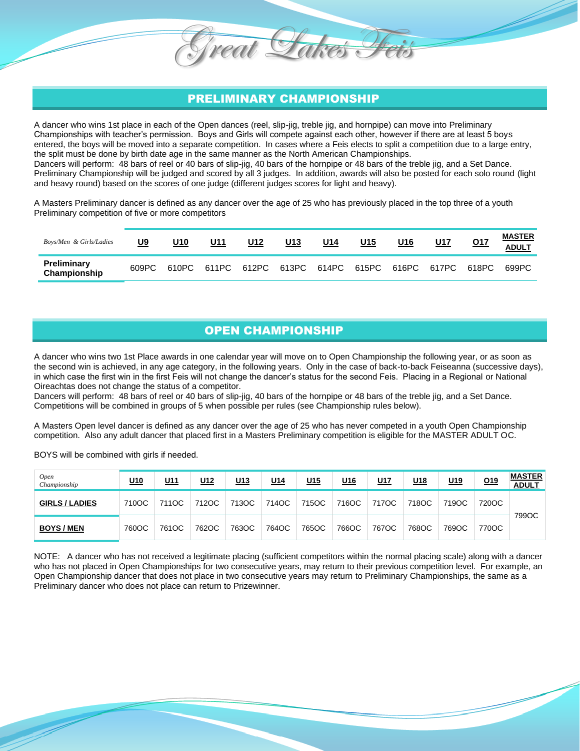## PRELIMINARY CHAMPIONSHIP

reat

A dancer who wins 1st place in each of the Open dances (reel, slip-jig, treble jig, and hornpipe) can move into Preliminary Championships with teacher's permission. Boys and Girls will compete against each other, however if there are at least 5 boys entered, the boys will be moved into a separate competition. In cases where a Feis elects to split a competition due to a large entry, the split must be done by birth date age in the same manner as the North American Championships. Dancers will perform: 48 bars of reel or 40 bars of slip-jig, 40 bars of the hornpipe or 48 bars of the treble jig, and a Set Dance. Preliminary Championship will be judged and scored by all 3 judges. In addition, awards will also be posted for each solo round (light and heavy round) based on the scores of one judge (different judges scores for light and heavy).

A Masters Preliminary dancer is defined as any dancer over the age of 25 who has previously placed in the top three of a youth Preliminary competition of five or more competitors

| Boys/Men & Girls/Ladies     | U9    | U10 | U11 | U12 | U13 | U14 | <u>U15</u> | U16 | <u>U17</u>                                      | Q17   | <b>MASTER</b><br><b>ADULT</b> |
|-----------------------------|-------|-----|-----|-----|-----|-----|------------|-----|-------------------------------------------------|-------|-------------------------------|
| Preliminary<br>Championship | 609PC |     |     |     |     |     |            |     | 610PC 611PC 612PC 613PC 614PC 615PC 616PC 617PC | 618PC | 699PC                         |

## OPEN CHAMPIONSHIP

A dancer who wins two 1st Place awards in one calendar year will move on to Open Championship the following year, or as soon as the second win is achieved, in any age category, in the following years. Only in the case of back-to-back Feiseanna (successive days), in which case the first win in the first Feis will not change the dancer's status for the second Feis. Placing in a Regional or National Oireachtas does not change the status of a competitor.

Dancers will perform: 48 bars of reel or 40 bars of slip-jig, 40 bars of the hornpipe or 48 bars of the treble jig, and a Set Dance. Competitions will be combined in groups of 5 when possible per rules (see Championship rules below).

A Masters Open level dancer is defined as any dancer over the age of 25 who has never competed in a youth Open Championship competition. Also any adult dancer that placed first in a Masters Preliminary competition is eligible for the MASTER ADULT OC.

BOYS will be combined with girls if needed.

| <b>Open</b><br>Championship | <u>U10</u> | <u>U11</u> | <u>U12</u> | <u>U13</u> | <u>U14</u> | <u>U15</u> | U <sub>16</sub> | <u>U17</u> | <u>U18</u> | <u>U19</u> | <u>019</u> | <b>MASTER</b><br><b>ADULT</b> |
|-----------------------------|------------|------------|------------|------------|------------|------------|-----------------|------------|------------|------------|------------|-------------------------------|
| <b>GIRLS / LADIES</b>       | 710OC      | 711OC      | 712OC      | 713OC      | 714OC      | 715OC      | 716OC           | 717OC      | 718OC      | 719OC      | 720OC      |                               |
| <b>BOYS/MEN</b>             | 760OC      | 761OC      | 762OC      | 763OC      | 764OC      | 765OC      | 766OC           | 767OC      | 768OC      | 769OC      | 770OC      | 799OC                         |

NOTE: A dancer who has not received a legitimate placing (sufficient competitors within the normal placing scale) along with a dancer who has not placed in Open Championships for two consecutive years, may return to their previous competition level. For example, an Open Championship dancer that does not place in two consecutive years may return to Preliminary Championships, the same as a Preliminary dancer who does not place can return to Prizewinner.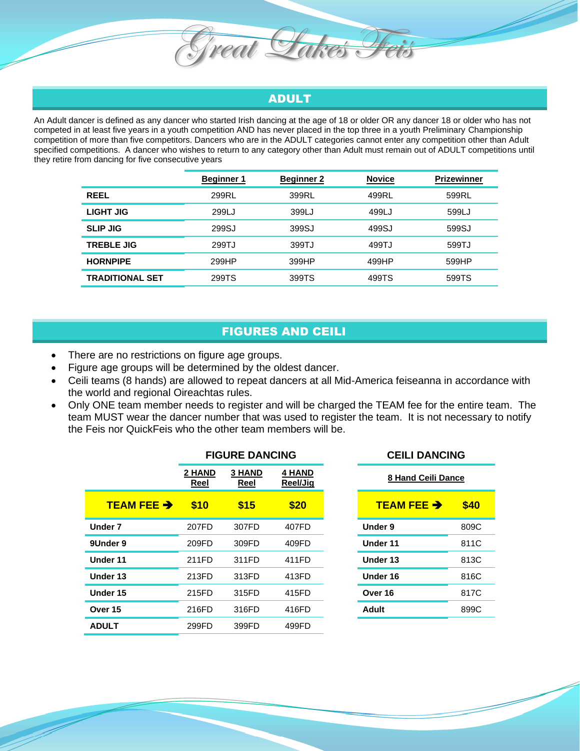

Great Fakes

An Adult dancer is defined as any dancer who started Irish dancing at the age of 18 or older OR any dancer 18 or older who has not competed in at least five years in a youth competition AND has never placed in the top three in a youth Preliminary Championship competition of more than five competitors. Dancers who are in the ADULT categories cannot enter any competition other than Adult specified competitions. A dancer who wishes to return to any category other than Adult must remain out of ADULT competitions until they retire from dancing for five consecutive years

|                        | <b>Beginner 1</b> | <b>Beginner 2</b> | <b>Novice</b> | <b>Prizewinner</b> |
|------------------------|-------------------|-------------------|---------------|--------------------|
| <b>REEL</b>            | 299RL             | 399RL             | 499RL         | 599RL              |
| LIGHT JIG              | 299LJ             | 399LJ             | 499LJ         | 599LJ              |
| <b>SLIP JIG</b>        | 299SJ             | 399SJ             | 499SJ         | 599SJ              |
| <b>TREBLE JIG</b>      | 299TJ             | 399TJ             | 499TJ         | 599TJ              |
| <b>HORNPIPE</b>        | 299HP             | 399HP             | 499HP         | 599HP              |
| <b>TRADITIONAL SET</b> | 299TS             | 399TS             | 499TS         | 599TS              |

## FIGURES AND CEILI

- There are no restrictions on figure age groups.
- Figure age groups will be determined by the oldest dancer.
- Ceili teams (8 hands) are allowed to repeat dancers at all Mid-America feiseanna in accordance with the world and regional Oireachtas rules.
- Only ONE team member needs to register and will be charged the TEAM fee for the entire team. The team MUST wear the dancer number that was used to register the team. It is not necessary to notify the Feis nor QuickFeis who the other team members will be.

|                      | <b>FIGURE DANCING</b> |                       |                           | <b>CEILI DANCING</b>                     |
|----------------------|-----------------------|-----------------------|---------------------------|------------------------------------------|
|                      | 2 HAND<br><b>Reel</b> | <b>3 HAND</b><br>Reel | <b>4 HAND</b><br>Reel/Jig | <b>8 Hand Ceili Dance</b>                |
| <b>TEAM FEE &gt;</b> | \$10                  | \$15                  | \$20                      | <b>TEAM FEE <math>\rightarrow</math></b> |
| <b>Under 7</b>       | 207FD                 | 307FD                 | 407FD                     | Under 9                                  |
| 9Under 9             | 209FD                 | 309FD                 | 409FD                     | <b>Under 11</b>                          |
| Under 11             | 211FD                 | 311FD                 | 411FD                     | Under 13                                 |
| Under 13             | 213FD                 | 313FD                 | 413FD                     | Under 16                                 |
| Under 15             | 215FD                 | 315FD                 | 415FD                     | Over 16                                  |
| Over 15              | 216FD                 | 316FD                 | 416FD                     | <b>Adult</b>                             |
| <b>ADULT</b>         | 299FD                 | 399FD                 | 499FD                     |                                          |

| . .                |  | VLILI PARVIRY        |      |  |  |
|--------------------|--|----------------------|------|--|--|
| 4 HAND<br>Reel/Jiq |  | 8 Hand Ceili Dance   |      |  |  |
| \$20               |  | <b>TEAM FEE &gt;</b> | \$40 |  |  |
| 407FD              |  | Under 9              | 809C |  |  |
| 409FD              |  | Under 11             | 811C |  |  |
| 411FD              |  | Under 13             | 813C |  |  |
| 413FD              |  | Under 16             | 816C |  |  |
| 415FD              |  | Over 16              | 817C |  |  |
| 416FD              |  | Adult                | 899C |  |  |
|                    |  |                      |      |  |  |

**FIGURE DANCING CEILI DANCING**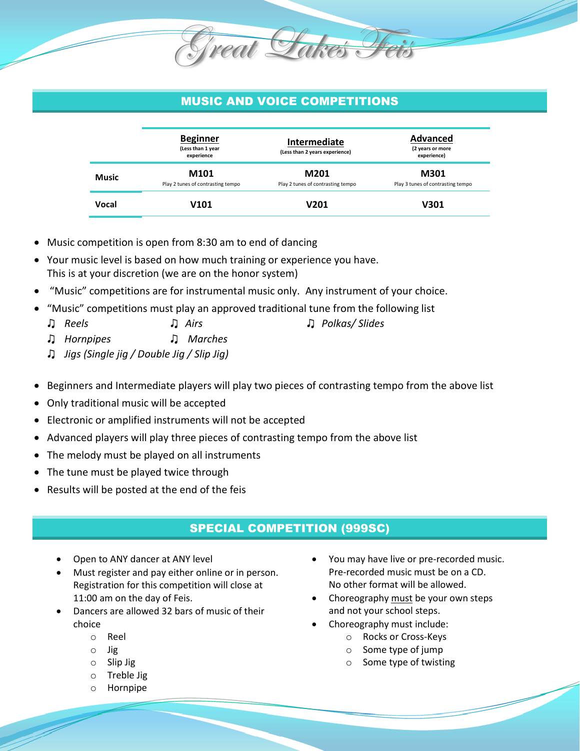# MUSIC AND VOICE COMPETITIONS

Great Lakes I

|       | <b>Beginner</b><br>(Less than 1 year<br>experience | Intermediate<br>(Less than 2 years experience) | Advanced<br>(2 years or more<br>experience) |
|-------|----------------------------------------------------|------------------------------------------------|---------------------------------------------|
| Music | M101<br>Play 2 tunes of contrasting tempo          | M201<br>Play 2 tunes of contrasting tempo      | M301<br>Play 3 tunes of contrasting tempo   |
| Vocal | V101                                               | V201                                           | V301                                        |

- Music competition is open from 8:30 am to end of dancing
- Your music level is based on how much training or experience you have. This is at your discretion (we are on the honor system)
- "Music" competitions are for instrumental music only. Any instrument of your choice.
- "Music" competitions must play an approved traditional tune from the following list
- ♫ *Reels* ♫ *Airs* ♫ *Polkas/ Slides*
- ♫ *Hornpipes* ♫ *Marches*
- ♫ *Jigs (Single jig / Double Jig / Slip Jig)*
- Beginners and Intermediate players will play two pieces of contrasting tempo from the above list
- Only traditional music will be accepted
- Electronic or amplified instruments will not be accepted
- Advanced players will play three pieces of contrasting tempo from the above list
- The melody must be played on all instruments
- The tune must be played twice through
- Results will be posted at the end of the feis

## SPECIAL COMPETITION (999SC)

- Open to ANY dancer at ANY level
- Must register and pay either online or in person. Registration for this competition will close at 11:00 am on the day of Feis.
- Dancers are allowed 32 bars of music of their choice
	- o Reel
	- o Jig
	- o Slip Jig
	- o Treble Jig
	- o Hornpipe
- You may have live or pre-recorded music. Pre-recorded music must be on a CD. No other format will be allowed.
- Choreography must be your own steps and not your school steps.
- Choreography must include:
	- o Rocks or Cross-Keys
	- o Some type of jump
	- o Some type of twisting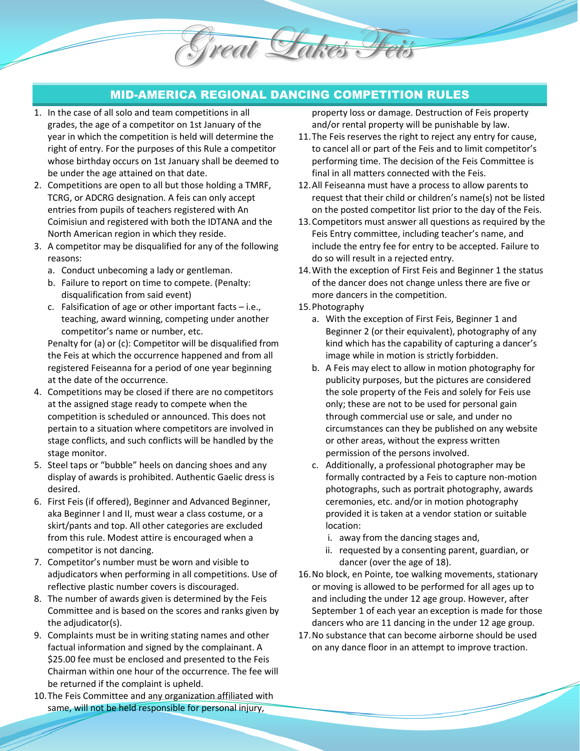## MID-AMERICA REGIONAL DANCING COMPETITION RULES

Great Lakes Feis

- 1. In the case of all solo and team competitions in all grades, the age of a competitor on 1st January of the year in which the competition is held will determine the right of entry. For the purposes of this Rule a competitor whose birthday occurs on 1st January shall be deemed to be under the age attained on that date.
- 2. Competitions are open to all but those holding a TMRF, TCRG, or ADCRG designation. A feis can only accept entries from pupils of teachers registered with An Coimisiun and registered with both the IDTANA and the North American region in which they reside.
- 3. A competitor may be disqualified for any of the following reasons:
	- a. Conduct unbecoming a lady or gentleman.
	- b. Failure to report on time to compete. (Penalty: disqualification from said event)
	- c. Falsification of age or other important facts i.e., teaching, award winning, competing under another competitor's name or number, etc.

Penalty for (a) or (c): Competitor will be disqualified from the Feis at which the occurrence happened and from all registered Feiseanna for a period of one year beginning at the date of the occurrence.

- 4. Competitions may be closed if there are no competitors at the assigned stage ready to compete when the competition is scheduled or announced. This does not pertain to a situation where competitors are involved in stage conflicts, and such conflicts will be handled by the stage monitor.
- 5. Steel taps or "bubble" heels on dancing shoes and any display of awards is prohibited. Authentic Gaelic dress is desired.
- 6. First Feis (if offered), Beginner and Advanced Beginner, aka Beginner I and II, must wear a class costume, or a skirt/pants and top. All other categories are excluded from this rule. Modest attire is encouraged when a competitor is not dancing.
- 7. Competitor's number must be worn and visible to adjudicators when performing in all competitions. Use of reflective plastic number covers is discouraged.
- 8. The number of awards given is determined by the Feis Committee and is based on the scores and ranks given by the adjudicator(s).
- 9. Complaints must be in writing stating names and other factual information and signed by the complainant. A \$25.00 fee must be enclosed and presented to the Feis Chairman within one hour of the occurrence. The fee will be returned if the complaint is upheld.
- 10.The Feis Committee and any organization affiliated with same, will not be held responsible for personal injury,

property loss or damage. Destruction of Feis property and/or rental property will be punishable by law.

- 11.The Feis reserves the right to reject any entry for cause, to cancel all or part of the Feis and to limit competitor's performing time. The decision of the Feis Committee is final in all matters connected with the Feis.
- 12.All Feiseanna must have a process to allow parents to request that their child or children's name(s) not be listed on the posted competitor list prior to the day of the Feis.
- 13.Competitors must answer all questions as required by the Feis Entry committee, including teacher's name, and include the entry fee for entry to be accepted. Failure to do so will result in a rejected entry.
- 14.With the exception of First Feis and Beginner 1 the status of the dancer does not change unless there are five or more dancers in the competition.
- 15.Photography
	- a. With the exception of First Feis, Beginner 1 and Beginner 2 (or their equivalent), photography of any kind which has the capability of capturing a dancer's image while in motion is strictly forbidden.
	- b. A Feis may elect to allow in motion photography for publicity purposes, but the pictures are considered the sole property of the Feis and solely for Feis use only; these are not to be used for personal gain through commercial use or sale, and under no circumstances can they be published on any website or other areas, without the express written permission of the persons involved.
	- c. Additionally, a professional photographer may be formally contracted by a Feis to capture non-motion photographs, such as portrait photography, awards ceremonies, etc. and/or in motion photography provided it is taken at a vendor station or suitable location:
		- i. away from the dancing stages and,
		- ii. requested by a consenting parent, guardian, or dancer (over the age of 18).
- 16.No block, en Pointe, toe walking movements, stationary or moving is allowed to be performed for all ages up to and including the under 12 age group. However, after September 1 of each year an exception is made for those dancers who are 11 dancing in the under 12 age group.
- 17.No substance that can become airborne should be used on any dance floor in an attempt to improve traction.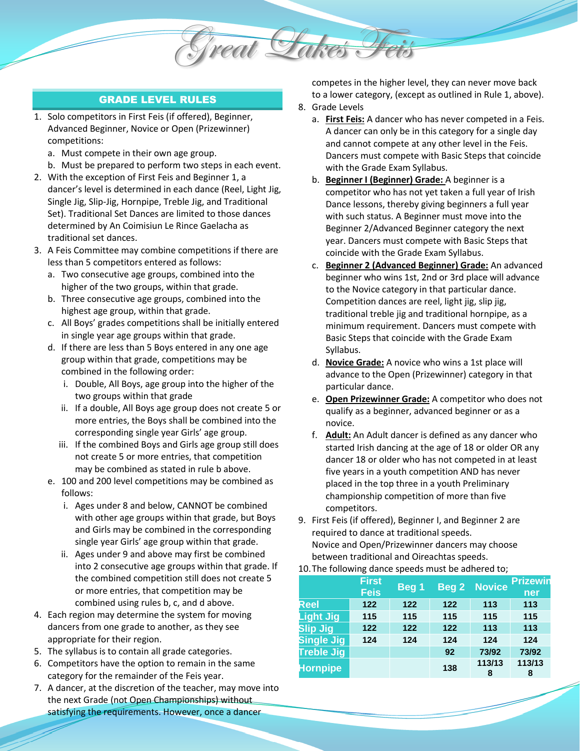

- 1. Solo competitors in First Feis (if offered), Beginner, Advanced Beginner, Novice or Open (Prizewinner) competitions:
	- a. Must compete in their own age group.
	- b. Must be prepared to perform two steps in each event.
- 2. With the exception of First Feis and Beginner 1, a dancer's level is determined in each dance (Reel, Light Jig, Single Jig, Slip-Jig, Hornpipe, Treble Jig, and Traditional Set). Traditional Set Dances are limited to those dances determined by An Coimisiun Le Rince Gaelacha as traditional set dances.
- 3. A Feis Committee may combine competitions if there are less than 5 competitors entered as follows:
	- a. Two consecutive age groups, combined into the higher of the two groups, within that grade.
	- b. Three consecutive age groups, combined into the highest age group, within that grade.
	- c. All Boys' grades competitions shall be initially entered in single year age groups within that grade.
	- d. If there are less than 5 Boys entered in any one age group within that grade, competitions may be combined in the following order:
		- i. Double, All Boys, age group into the higher of the two groups within that grade
		- ii. If a double, All Boys age group does not create 5 or more entries, the Boys shall be combined into the corresponding single year Girls' age group.
		- iii. If the combined Boys and Girls age group still does not create 5 or more entries, that competition may be combined as stated in rule b above.
	- e. 100 and 200 level competitions may be combined as follows:
		- i. Ages under 8 and below, CANNOT be combined with other age groups within that grade, but Boys and Girls may be combined in the corresponding single year Girls' age group within that grade.
		- ii. Ages under 9 and above may first be combined into 2 consecutive age groups within that grade. If the combined competition still does not create 5 or more entries, that competition may be combined using rules b, c, and d above.
- 4. Each region may determine the system for moving dancers from one grade to another, as they see appropriate for their region.
- 5. The syllabus is to contain all grade categories.
- 6. Competitors have the option to remain in the same category for the remainder of the Feis year.
- 7. A dancer, at the discretion of the teacher, may move into the next Grade (not Open Championships) without satisfying the requirements. However, once a dancer

competes in the higher level, they can never move back to a lower category, (except as outlined in Rule 1, above). 8. Grade Levels

Great Sakes

- a. **First Feis:** A dancer who has never competed in a Feis. A dancer can only be in this category for a single day and cannot compete at any other level in the Feis. Dancers must compete with Basic Steps that coincide with the Grade Exam Syllabus.
- b. **Beginner I (Beginner) Grade:** A beginner is a competitor who has not yet taken a full year of Irish Dance lessons, thereby giving beginners a full year with such status. A Beginner must move into the Beginner 2/Advanced Beginner category the next year. Dancers must compete with Basic Steps that coincide with the Grade Exam Syllabus.
- c. **Beginner 2 (Advanced Beginner) Grade:** An advanced beginner who wins 1st, 2nd or 3rd place will advance to the Novice category in that particular dance. Competition dances are reel, light jig, slip jig, traditional treble jig and traditional hornpipe, as a minimum requirement. Dancers must compete with Basic Steps that coincide with the Grade Exam Syllabus.
- d. **Novice Grade:** A novice who wins a 1st place will advance to the Open (Prizewinner) category in that particular dance.
- e. **Open Prizewinner Grade:** A competitor who does not qualify as a beginner, advanced beginner or as a novice.
- f. **Adult:** An Adult dancer is defined as any dancer who started Irish dancing at the age of 18 or older OR any dancer 18 or older who has not competed in at least five years in a youth competition AND has never placed in the top three in a youth Preliminary championship competition of more than five competitors.
- 9. First Feis (if offered), Beginner I, and Beginner 2 are required to dance at traditional speeds. Novice and Open/Prizewinner dancers may choose between traditional and Oireachtas speeds.

#### 10.The following dance speeds must be adhered to;

|                   | <b>First</b><br><b>Feis</b> | Beg 1 |     | <b>Beg 2 Novice</b> | <b>Prizewin</b><br>ner |
|-------------------|-----------------------------|-------|-----|---------------------|------------------------|
| Reel              | 122                         | 122   | 122 | 113                 | 113                    |
| <b>Light Jig</b>  | 115                         | 115   | 115 | 115                 | 115                    |
| <b>Slip Jig</b>   | 122                         | 122   | 122 | 113                 | 113                    |
| <b>Single Jig</b> | 124                         | 124   | 124 | 124                 | 124                    |
| <b>Treble Jig</b> |                             |       | 92  | 73/92               | 73/92                  |
| <b>Hornpipe</b>   |                             |       | 138 | 113/13<br>8         | 113/13<br>8            |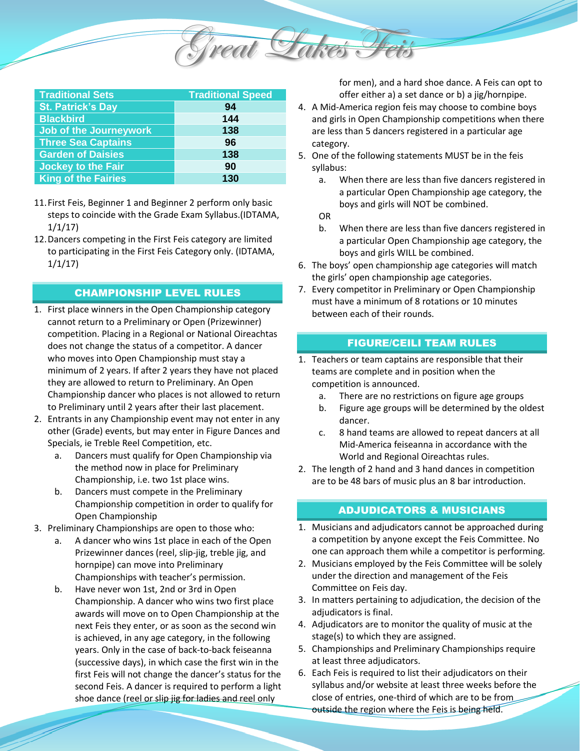

| <b>Traditional Sets</b>       | <b>Traditional Speed</b> |
|-------------------------------|--------------------------|
| <b>St. Patrick's Day</b>      | 94                       |
| <b>Blackbird</b>              | 144                      |
| <b>Job of the Journeywork</b> | 138                      |
| <b>Three Sea Captains</b>     | 96                       |
| <b>Garden of Daisies</b>      | 138                      |
| <b>Jockey to the Fair</b>     | 90                       |
| <b>King of the Fairies</b>    | 130                      |

- 11.First Feis, Beginner 1 and Beginner 2 perform only basic steps to coincide with the Grade Exam Syllabus.(IDTAMA, 1/1/17)
- 12.Dancers competing in the First Feis category are limited to participating in the First Feis Category only. (IDTAMA, 1/1/17)

#### CHAMPIONSHIP LEVEL RULES

- 1. First place winners in the Open Championship category cannot return to a Preliminary or Open (Prizewinner) competition. Placing in a Regional or National Oireachtas does not change the status of a competitor. A dancer who moves into Open Championship must stay a minimum of 2 years. If after 2 years they have not placed they are allowed to return to Preliminary. An Open Championship dancer who places is not allowed to return to Preliminary until 2 years after their last placement.
- 2. Entrants in any Championship event may not enter in any other (Grade) events, but may enter in Figure Dances and Specials, ie Treble Reel Competition, etc.
	- a. Dancers must qualify for Open Championship via the method now in place for Preliminary Championship, i.e. two 1st place wins.
	- b. Dancers must compete in the Preliminary Championship competition in order to qualify for Open Championship
- 3. Preliminary Championships are open to those who:
	- a. A dancer who wins 1st place in each of the Open Prizewinner dances (reel, slip-jig, treble jig, and hornpipe) can move into Preliminary Championships with teacher's permission.
	- b. Have never won 1st, 2nd or 3rd in Open Championship. A dancer who wins two first place awards will move on to Open Championship at the next Feis they enter, or as soon as the second win is achieved, in any age category, in the following years. Only in the case of back-to-back feiseanna (successive days), in which case the first win in the first Feis will not change the dancer's status for the second Feis. A dancer is required to perform a light shoe dance (reel or slip jig for ladies and reel only

for men), and a hard shoe dance. A Feis can opt to offer either a) a set dance or b) a jig/hornpipe.

- 4. A Mid-America region feis may choose to combine boys and girls in Open Championship competitions when there are less than 5 dancers registered in a particular age category.
- 5. One of the following statements MUST be in the feis syllabus:
	- a. When there are less than five dancers registered in a particular Open Championship age category, the boys and girls will NOT be combined.
	- OR
	- b. When there are less than five dancers registered in a particular Open Championship age category, the boys and girls WILL be combined.
- 6. The boys' open championship age categories will match the girls' open championship age categories.
- 7. Every competitor in Preliminary or Open Championship must have a minimum of 8 rotations or 10 minutes between each of their rounds.

#### FIGURE/CEILI TEAM RULES

- 1. Teachers or team captains are responsible that their teams are complete and in position when the competition is announced.
	- a. There are no restrictions on figure age groups
	- b. Figure age groups will be determined by the oldest dancer.
	- c. 8 hand teams are allowed to repeat dancers at all Mid-America feiseanna in accordance with the World and Regional Oireachtas rules.
- 2. The length of 2 hand and 3 hand dances in competition are to be 48 bars of music plus an 8 bar introduction.

#### ADJUDICATORS & MUSICIANS

- 1. Musicians and adjudicators cannot be approached during a competition by anyone except the Feis Committee. No one can approach them while a competitor is performing.
- 2. Musicians employed by the Feis Committee will be solely under the direction and management of the Feis Committee on Feis day.
- 3. In matters pertaining to adjudication, the decision of the adjudicators is final.
- 4. Adjudicators are to monitor the quality of music at the stage(s) to which they are assigned.
- 5. Championships and Preliminary Championships require at least three adjudicators.
- 6. Each Feis is required to list their adjudicators on their syllabus and/or website at least three weeks before the close of entries, one-third of which are to be from outside the region where the Feis is being held.